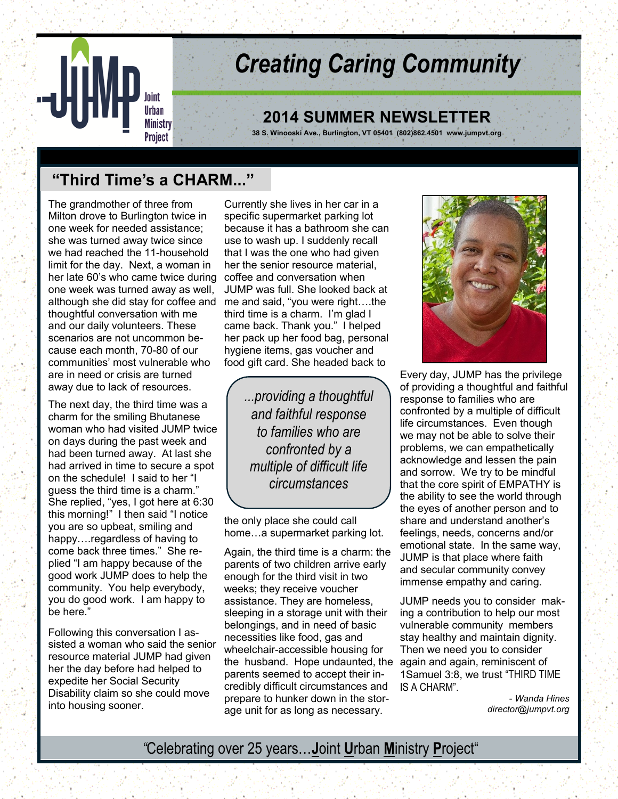

# *Creating Caring Community*

## **2014 SUMMER NEWSLETTER**

**38 S. Winooski Ave., Burlington, VT 05401 (802)862.4501 www.jumpvt.org**

# **"Third Time's a CHARM..."**

The grandmother of three from Milton drove to Burlington twice in one week for needed assistance; she was turned away twice since we had reached the 11-household limit for the day. Next, a woman in her late 60's who came twice during one week was turned away as well, although she did stay for coffee and thoughtful conversation with me and our daily volunteers. These scenarios are not uncommon because each month, 70-80 of our communities' most vulnerable who are in need or crisis are turned away due to lack of resources.

The next day, the third time was a charm for the smiling Bhutanese woman who had visited JUMP twice on days during the past week and had been turned away. At last she had arrived in time to secure a spot on the schedule! I said to her "I guess the third time is a charm." She replied, "yes, I got here at 6:30 this morning!" I then said "I notice you are so upbeat, smiling and happy….regardless of having to come back three times." She replied "I am happy because of the good work JUMP does to help the community. You help everybody, you do good work. I am happy to be here."

Following this conversation I assisted a woman who said the senior resource material JUMP had given her the day before had helped to expedite her Social Security Disability claim so she could move into housing sooner.

Currently she lives in her car in a specific supermarket parking lot because it has a bathroom she can use to wash up. I suddenly recall that I was the one who had given her the senior resource material, coffee and conversation when JUMP was full. She looked back at me and said, "you were right….the third time is a charm. I'm glad I came back. Thank you." I helped her pack up her food bag, personal hygiene items, gas voucher and food gift card. She headed back to

> *...providing a thoughtful and faithful response to families who are confronted by a multiple of difficult life circumstances*

the only place she could call home…a supermarket parking lot.

Again, the third time is a charm: the parents of two children arrive early enough for the third visit in two weeks; they receive voucher assistance. They are homeless, sleeping in a storage unit with their belongings, and in need of basic necessities like food, gas and wheelchair-accessible housing for the husband. Hope undaunted, the again and again, reminiscent of parents seemed to accept their incredibly difficult circumstances and prepare to hunker down in the storage unit for as long as necessary.



Every day, JUMP has the privilege of providing a thoughtful and faithful response to families who are confronted by a multiple of difficult life circumstances. Even though we may not be able to solve their problems, we can empathetically acknowledge and lessen the pain and sorrow. We try to be mindful that the core spirit of EMPATHY is the ability to see the world through the eyes of another person and to share and understand another's feelings, needs, concerns and/or emotional state. In the same way, JUMP is that place where faith and secular community convey immense empathy and caring.

JUMP needs you to consider making a contribution to help our most vulnerable community members stay healthy and maintain dignity. Then we need you to consider 1Samuel 3:8, we trust "THIRD TIME IS A CHARM".

> - *Wanda Hines director@jumpvt.org*

## *"*Celebrating over 25 years…**J**oint **U**rban **M**inistry **P**roject"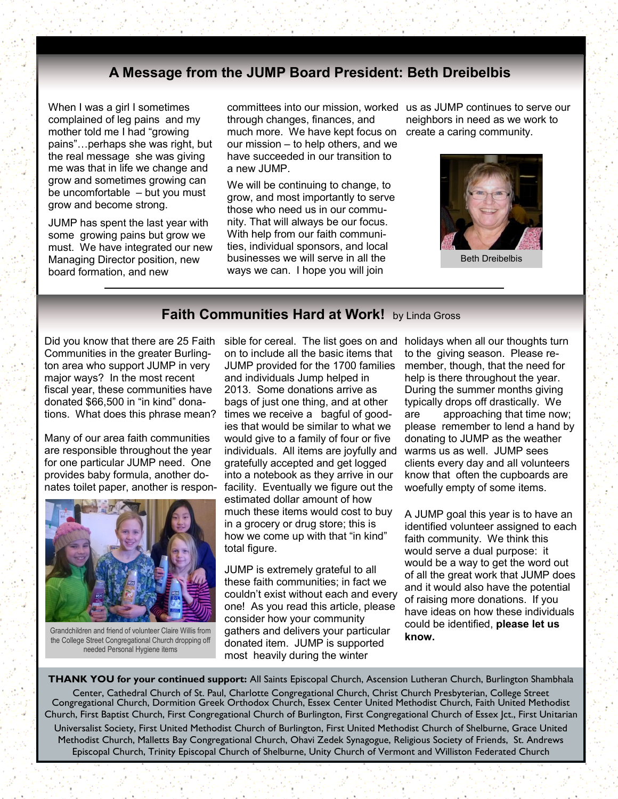## **A Message from the JUMP Board President: Beth Dreibelbis**

When I was a girl I sometimes complained of leg pains and my mother told me I had "growing pains"…perhaps she was right, but the real message she was giving me was that in life we change and grow and sometimes growing can be uncomfortable – but you must grow and become strong.

JUMP has spent the last year with some growing pains but grow we must. We have integrated our new Managing Director position, new board formation, and new

committees into our mission, worked us as JUMP continues to serve our through changes, finances, and much more. We have kept focus on

our mission – to help others, and we have succeeded in our transition to a new JUMP.

We will be continuing to change, to grow, and most importantly to serve those who need us in our community. That will always be our focus. With help from our faith communities, individual sponsors, and local businesses we will serve in all the ways we can. I hope you will join

neighbors in need as we work to create a caring community.



Beth Dreibelbis

#### **Faith Communities Hard at Work!** by Linda Gross

Did you know that there are 25 Faith Communities in the greater Burlington area who support JUMP in very major ways? In the most recent fiscal year, these communities have donated \$66,500 in "in kind" donations. What does this phrase mean?

Many of our area faith communities are responsible throughout the year for one particular JUMP need. One provides baby formula, another donates toilet paper, another is respon-



Grandchildren and friend of volunteer Claire Willis from the College Street Congregational Church dropping off needed Personal Hygiene items

sible for cereal. The list goes on and holidays when all our thoughts turn on to include all the basic items that JUMP provided for the 1700 families and individuals Jump helped in 2013. Some donations arrive as bags of just one thing, and at other times we receive a bagful of goodies that would be similar to what we would give to a family of four or five individuals. All items are joyfully and gratefully accepted and get logged into a notebook as they arrive in our facility. Eventually we figure out the estimated dollar amount of how much these items would cost to buy in a grocery or drug store; this is how we come up with that "in kind" total figure.

JUMP is extremely grateful to all these faith communities; in fact we couldn't exist without each and every one! As you read this article, please consider how your community gathers and delivers your particular donated item. JUMP is supported most heavily during the winter

to the giving season. Please remember, though, that the need for help is there throughout the year. During the summer months giving typically drops off drastically. We are approaching that time now; please remember to lend a hand by donating to JUMP as the weather warms us as well. JUMP sees clients every day and all volunteers know that often the cupboards are woefully empty of some items.

A JUMP goal this year is to have an identified volunteer assigned to each faith community. We think this would serve a dual purpose: it would be a way to get the word out of all the great work that JUMP does and it would also have the potential of raising more donations. If you have ideas on how these individuals could be identified, **please let us know.**

**THANK YOU for your continued support:** All Saints Episcopal Church, Ascension Lutheran Church, Burlington Shambhala Center, Cathedral Church of St. Paul, Charlotte Congregational Church, Christ Church Presbyterian, College Street Congregational Church, Dormition Greek Orthodox Church, Essex Center United Methodist Church, Faith United Methodist Church, First Baptist Church, First Congregational Church of Burlington, First Congregational Church of Essex Jct., First Unitarian

Universalist Society, First United Methodist Church of Burlington, First United Methodist Church of Shelburne, Grace United Methodist Church, Malletts Bay Congregational Church, Ohavi Zedek Synagogue, Religious Society of Friends, St. Andrews Episcopal Church, Trinity Episcopal Church of Shelburne, Unity Church of Vermont and Williston Federated Church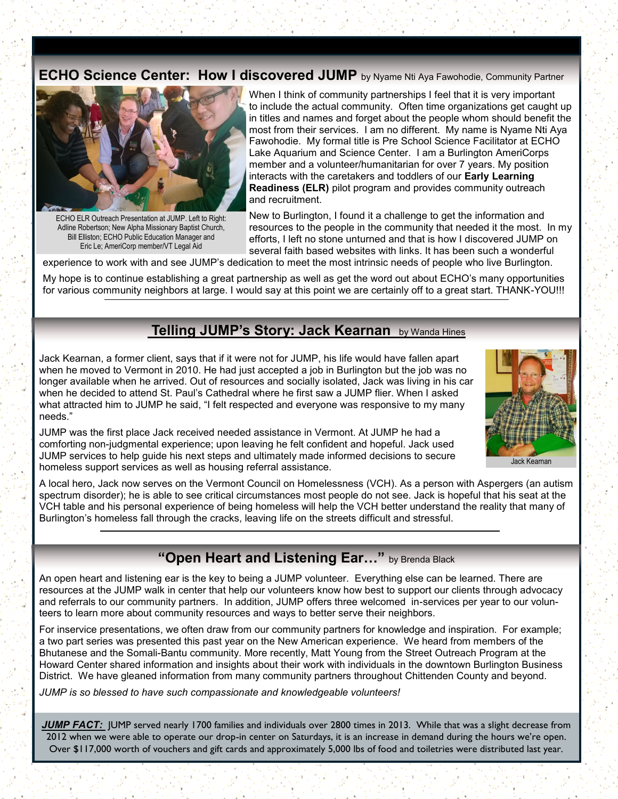### **ECHO Science Center: How I discovered JUMP** by Nyame Nti Aya Fawohodie, Community Partner



ECHO ELR Outreach Presentation at JUMP. Left to Right: Adline Robertson; New Alpha Missionary Baptist Church, Bill Elliston; ECHO Public Education Manager and Eric Le; AmeriCorp member/VT Legal Aid

When I think of community partnerships I feel that it is very important to include the actual community. Often time organizations get caught up in titles and names and forget about the people whom should benefit the most from their services. I am no different. My name is Nyame Nti Aya Fawohodie. My formal title is Pre School Science Facilitator at ECHO Lake Aquarium and Science Center. I am a Burlington AmeriCorps member and a volunteer/humanitarian for over 7 years. My position interacts with the caretakers and toddlers of our **Early Learning Readiness (ELR)** pilot program and provides community outreach and recruitment.

New to Burlington, I found it a challenge to get the information and resources to the people in the community that needed it the most. In my efforts, I left no stone unturned and that is how I discovered JUMP on several faith based websites with links. It has been such a wonderful

experience to work with and see JUMP's dedication to meet the most intrinsic needs of people who live Burlington.

My hope is to continue establishing a great partnership as well as get the word out about ECHO's many opportunities for various community neighbors at large. I would say at this point we are certainly off to a great start. THANK-YOU!!!

## **Telling JUMP's Story: Jack Kearnan** by Wanda Hines

Jack Kearnan, a former client, says that if it were not for JUMP, his life would have fallen apart when he moved to Vermont in 2010. He had just accepted a job in Burlington but the job was no longer available when he arrived. Out of resources and socially isolated, Jack was living in his car when he decided to attend St. Paul's Cathedral where he first saw a JUMP flier. When I asked what attracted him to JUMP he said, "I felt respected and everyone was responsive to my many needs."



JUMP was the first place Jack received needed assistance in Vermont. At JUMP he had a comforting non-judgmental experience; upon leaving he felt confident and hopeful. Jack used JUMP services to help guide his next steps and ultimately made informed decisions to secure homeless support services as well as housing referral assistance.

A local hero, Jack now serves on the Vermont Council on Homelessness (VCH). As a person with Aspergers (an autism spectrum disorder); he is able to see critical circumstances most people do not see. Jack is hopeful that his seat at the VCH table and his personal experience of being homeless will help the VCH better understand the reality that many of Burlington's homeless fall through the cracks, leaving life on the streets difficult and stressful.

## **"Open Heart and Listening Ear…"** by Brenda Black

An open heart and listening ear is the key to being a JUMP volunteer. Everything else can be learned. There are resources at the JUMP walk in center that help our volunteers know how best to support our clients through advocacy and referrals to our community partners. In addition, JUMP offers three welcomed in-services per year to our volunteers to learn more about community resources and ways to better serve their neighbors.

For inservice presentations, we often draw from our community partners for knowledge and inspiration. For example; a two part series was presented this past year on the New American experience. We heard from members of the Bhutanese and the Somali-Bantu community. More recently, Matt Young from the Street Outreach Program at the Howard Center shared information and insights about their work with individuals in the downtown Burlington Business District. We have gleaned information from many community partners throughout Chittenden County and beyond.

*JUMP is so blessed to have such compassionate and knowledgeable volunteers!*

JUMP FACT: JUMP served nearly 1700 families and individuals over 2800 times in 2013. While that was a slight decrease from 2012 when we were able to operate our drop-in center on Saturdays, it is an increase in demand during the hours we're open. Over \$117,000 worth of vouchers and gift cards and approximately 5,000 lbs of food and toiletries were distributed last year.